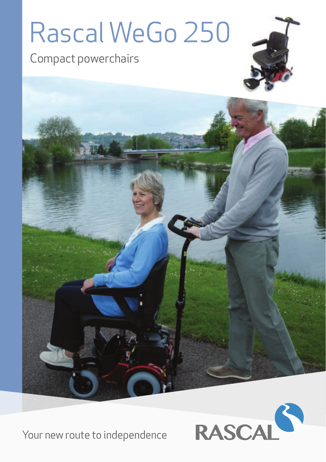# Rascal WeGo 250

Compact powerchairs





Your new route to independence